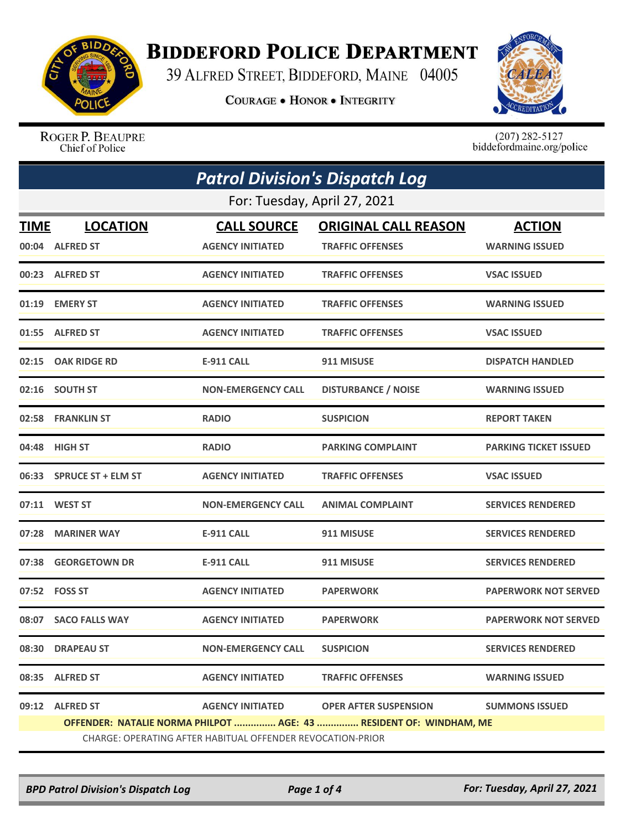

## **BIDDEFORD POLICE DEPARTMENT**

39 ALFRED STREET, BIDDEFORD, MAINE 04005

**COURAGE . HONOR . INTEGRITY** 



ROGER P. BEAUPRE Chief of Police

 $(207)$  282-5127<br>biddefordmaine.org/police

| <b>Patrol Division's Dispatch Log</b>                              |                                                            |                           |                              |                              |  |
|--------------------------------------------------------------------|------------------------------------------------------------|---------------------------|------------------------------|------------------------------|--|
|                                                                    | For: Tuesday, April 27, 2021                               |                           |                              |                              |  |
| <b>TIME</b>                                                        | <b>LOCATION</b>                                            | <b>CALL SOURCE</b>        | <b>ORIGINAL CALL REASON</b>  | <b>ACTION</b>                |  |
|                                                                    | 00:04 ALFRED ST                                            | <b>AGENCY INITIATED</b>   | <b>TRAFFIC OFFENSES</b>      | <b>WARNING ISSUED</b>        |  |
|                                                                    | 00:23 ALFRED ST                                            | <b>AGENCY INITIATED</b>   | <b>TRAFFIC OFFENSES</b>      | <b>VSAC ISSUED</b>           |  |
|                                                                    | 01:19 EMERY ST                                             | <b>AGENCY INITIATED</b>   | <b>TRAFFIC OFFENSES</b>      | <b>WARNING ISSUED</b>        |  |
|                                                                    | 01:55 ALFRED ST                                            | <b>AGENCY INITIATED</b>   | <b>TRAFFIC OFFENSES</b>      | <b>VSAC ISSUED</b>           |  |
|                                                                    | 02:15 OAK RIDGE RD                                         | E-911 CALL                | 911 MISUSE                   | <b>DISPATCH HANDLED</b>      |  |
|                                                                    | 02:16 SOUTH ST                                             | <b>NON-EMERGENCY CALL</b> | <b>DISTURBANCE / NOISE</b>   | <b>WARNING ISSUED</b>        |  |
|                                                                    | 02:58 FRANKLIN ST                                          | <b>RADIO</b>              | <b>SUSPICION</b>             | <b>REPORT TAKEN</b>          |  |
|                                                                    | 04:48 HIGH ST                                              | <b>RADIO</b>              | <b>PARKING COMPLAINT</b>     | <b>PARKING TICKET ISSUED</b> |  |
|                                                                    | 06:33 SPRUCE ST + ELM ST                                   | <b>AGENCY INITIATED</b>   | <b>TRAFFIC OFFENSES</b>      | <b>VSAC ISSUED</b>           |  |
|                                                                    | 07:11 WEST ST                                              | <b>NON-EMERGENCY CALL</b> | <b>ANIMAL COMPLAINT</b>      | <b>SERVICES RENDERED</b>     |  |
|                                                                    | 07:28 MARINER WAY                                          | E-911 CALL                | 911 MISUSE                   | <b>SERVICES RENDERED</b>     |  |
| 07:38                                                              | <b>GEORGETOWN DR</b>                                       | <b>E-911 CALL</b>         | 911 MISUSE                   | <b>SERVICES RENDERED</b>     |  |
|                                                                    | 07:52    FOSS ST                                           | <b>AGENCY INITIATED</b>   | <b>PAPERWORK</b>             | <b>PAPERWORK NOT SERVED</b>  |  |
|                                                                    | 08:07 SACO FALLS WAY                                       | <b>AGENCY INITIATED</b>   | <b>PAPERWORK</b>             | <b>PAPERWORK NOT SERVED</b>  |  |
|                                                                    | 08:30 DRAPEAU ST                                           | <b>NON-EMERGENCY CALL</b> | <b>SUSPICION</b>             | <b>SERVICES RENDERED</b>     |  |
|                                                                    | 08:35 ALFRED ST                                            | <b>AGENCY INITIATED</b>   | <b>TRAFFIC OFFENSES</b>      | <b>WARNING ISSUED</b>        |  |
|                                                                    | 09:12 ALFRED ST                                            | <b>AGENCY INITIATED</b>   | <b>OPER AFTER SUSPENSION</b> | <b>SUMMONS ISSUED</b>        |  |
| OFFENDER: NATALIE NORMA PHILPOT  AGE: 43  RESIDENT OF: WINDHAM, ME |                                                            |                           |                              |                              |  |
|                                                                    | CHARGE: OPERATING AFTER HABITUAL OFFENDER REVOCATION-PRIOR |                           |                              |                              |  |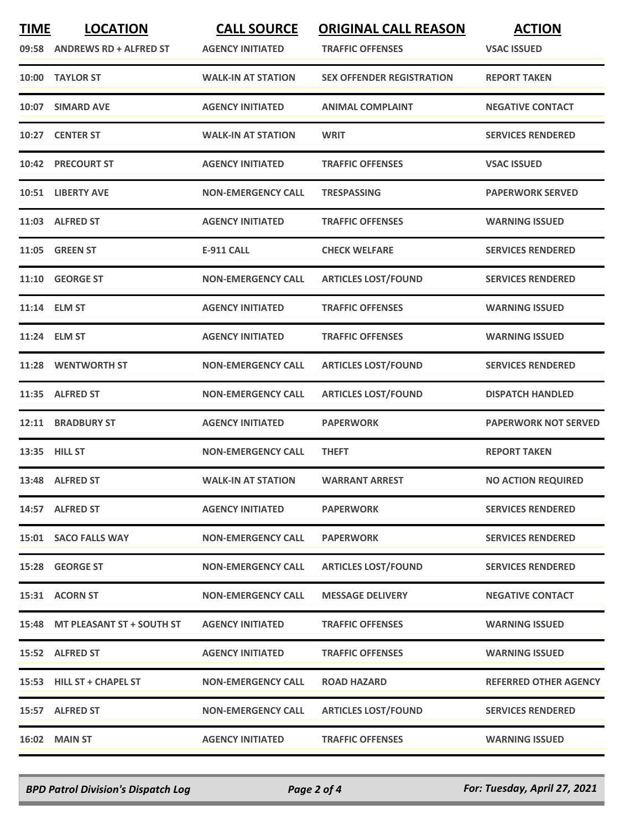| <b>TIME</b> | <b>LOCATION</b><br>09:58 ANDREWS RD + ALFRED ST | <b>CALL SOURCE</b><br><b>AGENCY INITIATED</b> | <b>ORIGINAL CALL REASON</b><br><b>TRAFFIC OFFENSES</b> | <b>ACTION</b><br><b>VSAC ISSUED</b> |
|-------------|-------------------------------------------------|-----------------------------------------------|--------------------------------------------------------|-------------------------------------|
|             | 10:00 TAYLOR ST                                 | <b>WALK-IN AT STATION</b>                     | <b>SEX OFFENDER REGISTRATION</b>                       | <b>REPORT TAKEN</b>                 |
|             | 10:07 SIMARD AVE                                | <b>AGENCY INITIATED</b>                       | <b>ANIMAL COMPLAINT</b>                                | <b>NEGATIVE CONTACT</b>             |
|             | 10:27 CENTER ST                                 | <b>WALK-IN AT STATION</b>                     | <b>WRIT</b>                                            | <b>SERVICES RENDERED</b>            |
|             | 10:42 PRECOURT ST                               | <b>AGENCY INITIATED</b>                       | <b>TRAFFIC OFFENSES</b>                                | <b>VSAC ISSUED</b>                  |
|             | 10:51 LIBERTY AVE                               | <b>NON-EMERGENCY CALL</b>                     | <b>TRESPASSING</b>                                     | <b>PAPERWORK SERVED</b>             |
|             | 11:03 ALFRED ST                                 | <b>AGENCY INITIATED</b>                       | <b>TRAFFIC OFFENSES</b>                                | <b>WARNING ISSUED</b>               |
|             | 11:05 GREEN ST                                  | E-911 CALL                                    | <b>CHECK WELFARE</b>                                   | <b>SERVICES RENDERED</b>            |
|             | 11:10 GEORGE ST                                 | <b>NON-EMERGENCY CALL</b>                     | <b>ARTICLES LOST/FOUND</b>                             | <b>SERVICES RENDERED</b>            |
|             | 11:14 ELM ST                                    | <b>AGENCY INITIATED</b>                       | <b>TRAFFIC OFFENSES</b>                                | <b>WARNING ISSUED</b>               |
|             | 11:24 ELM ST                                    | <b>AGENCY INITIATED</b>                       | <b>TRAFFIC OFFENSES</b>                                | <b>WARNING ISSUED</b>               |
|             | 11:28 WENTWORTH ST                              | <b>NON-EMERGENCY CALL</b>                     | <b>ARTICLES LOST/FOUND</b>                             | <b>SERVICES RENDERED</b>            |
|             | 11:35 ALFRED ST                                 | <b>NON-EMERGENCY CALL</b>                     | <b>ARTICLES LOST/FOUND</b>                             | <b>DISPATCH HANDLED</b>             |
| 12:11       | <b>BRADBURY ST</b>                              | <b>AGENCY INITIATED</b>                       | <b>PAPERWORK</b>                                       | <b>PAPERWORK NOT SERVED</b>         |
|             | 13:35 HILL ST                                   | <b>NON-EMERGENCY CALL</b>                     | <b>THEFT</b>                                           | <b>REPORT TAKEN</b>                 |
|             | 13:48 ALFRED ST                                 | <b>WALK-IN AT STATION</b>                     | <b>WARRANT ARREST</b>                                  | <b>NO ACTION REQUIRED</b>           |
|             | 14:57 ALFRED ST                                 | <b>AGENCY INITIATED</b>                       | <b>PAPERWORK</b>                                       | <b>SERVICES RENDERED</b>            |
|             | 15:01 SACO FALLS WAY                            | <b>NON-EMERGENCY CALL</b>                     | <b>PAPERWORK</b>                                       | <b>SERVICES RENDERED</b>            |
|             | 15:28 GEORGE ST                                 | <b>NON-EMERGENCY CALL</b>                     | <b>ARTICLES LOST/FOUND</b>                             | <b>SERVICES RENDERED</b>            |
|             | 15:31 ACORN ST                                  | <b>NON-EMERGENCY CALL</b>                     | <b>MESSAGE DELIVERY</b>                                | <b>NEGATIVE CONTACT</b>             |
|             | 15:48 MT PLEASANT ST + SOUTH ST                 | <b>AGENCY INITIATED</b>                       | <b>TRAFFIC OFFENSES</b>                                | <b>WARNING ISSUED</b>               |
|             | 15:52 ALFRED ST                                 | <b>AGENCY INITIATED</b>                       | <b>TRAFFIC OFFENSES</b>                                | <b>WARNING ISSUED</b>               |
|             | 15:53 HILL ST + CHAPEL ST                       | <b>NON-EMERGENCY CALL</b>                     | <b>ROAD HAZARD</b>                                     | <b>REFERRED OTHER AGENCY</b>        |
|             | 15:57 ALFRED ST                                 | <b>NON-EMERGENCY CALL</b>                     | <b>ARTICLES LOST/FOUND</b>                             | <b>SERVICES RENDERED</b>            |
|             | 16:02 MAIN ST                                   | <b>AGENCY INITIATED</b>                       | <b>TRAFFIC OFFENSES</b>                                | <b>WARNING ISSUED</b>               |

*BPD Patrol Division's Dispatch Log Page 2 of 4 For: Tuesday, April 27, 2021*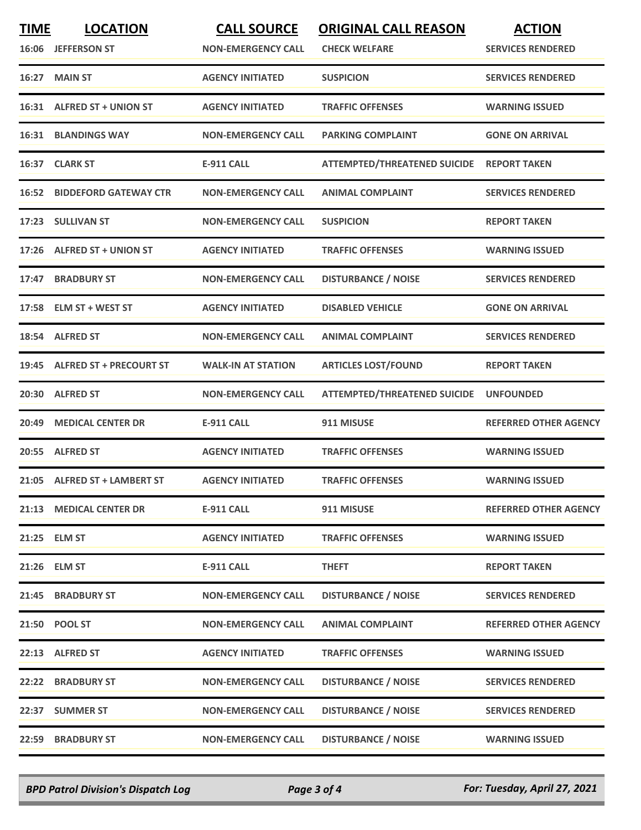| <b>TIME</b> | <b>LOCATION</b><br>16:06 JEFFERSON ST | <b>CALL SOURCE</b><br><b>NON-EMERGENCY CALL</b> | <b>ORIGINAL CALL REASON</b><br><b>CHECK WELFARE</b> | <b>ACTION</b><br><b>SERVICES RENDERED</b> |
|-------------|---------------------------------------|-------------------------------------------------|-----------------------------------------------------|-------------------------------------------|
| 16:27       | <b>MAIN ST</b>                        | <b>AGENCY INITIATED</b>                         | <b>SUSPICION</b>                                    | <b>SERVICES RENDERED</b>                  |
|             | 16:31 ALFRED ST + UNION ST            | <b>AGENCY INITIATED</b>                         | <b>TRAFFIC OFFENSES</b>                             | <b>WARNING ISSUED</b>                     |
|             | <b>16:31 BLANDINGS WAY</b>            | <b>NON-EMERGENCY CALL</b>                       | <b>PARKING COMPLAINT</b>                            | <b>GONE ON ARRIVAL</b>                    |
|             | 16:37 CLARK ST                        | <b>E-911 CALL</b>                               | ATTEMPTED/THREATENED SUICIDE REPORT TAKEN           |                                           |
|             | <b>16:52 BIDDEFORD GATEWAY CTR</b>    | <b>NON-EMERGENCY CALL</b>                       | <b>ANIMAL COMPLAINT</b>                             | <b>SERVICES RENDERED</b>                  |
| 17:23       | <b>SULLIVAN ST</b>                    | <b>NON-EMERGENCY CALL</b>                       | <b>SUSPICION</b>                                    | <b>REPORT TAKEN</b>                       |
|             | 17:26 ALFRED ST + UNION ST            | <b>AGENCY INITIATED</b>                         | <b>TRAFFIC OFFENSES</b>                             | <b>WARNING ISSUED</b>                     |
| 17:47       | <b>BRADBURY ST</b>                    | <b>NON-EMERGENCY CALL</b>                       | <b>DISTURBANCE / NOISE</b>                          | <b>SERVICES RENDERED</b>                  |
| 17:58       | <b>ELM ST + WEST ST</b>               | <b>AGENCY INITIATED</b>                         | <b>DISABLED VEHICLE</b>                             | <b>GONE ON ARRIVAL</b>                    |
|             | 18:54 ALFRED ST                       | <b>NON-EMERGENCY CALL</b>                       | <b>ANIMAL COMPLAINT</b>                             | <b>SERVICES RENDERED</b>                  |
|             | 19:45 ALFRED ST + PRECOURT ST         | <b>WALK-IN AT STATION</b>                       | <b>ARTICLES LOST/FOUND</b>                          | <b>REPORT TAKEN</b>                       |
| 20:30       | <b>ALFRED ST</b>                      | <b>NON-EMERGENCY CALL</b>                       | <b>ATTEMPTED/THREATENED SUICIDE</b>                 | <b>UNFOUNDED</b>                          |
| 20:49       | <b>MEDICAL CENTER DR</b>              | <b>E-911 CALL</b>                               | 911 MISUSE                                          | <b>REFERRED OTHER AGENCY</b>              |
|             | 20:55 ALFRED ST                       | <b>AGENCY INITIATED</b>                         | <b>TRAFFIC OFFENSES</b>                             | <b>WARNING ISSUED</b>                     |
|             | 21:05 ALFRED ST + LAMBERT ST          | <b>AGENCY INITIATED</b>                         | <b>TRAFFIC OFFENSES</b>                             | <b>WARNING ISSUED</b>                     |
|             | 21:13 MEDICAL CENTER DR               | <b>E-911 CALL</b>                               | 911 MISUSE                                          | <b>REFERRED OTHER AGENCY</b>              |
|             | 21:25 ELM ST                          | <b>AGENCY INITIATED</b>                         | <b>TRAFFIC OFFENSES</b>                             | <b>WARNING ISSUED</b>                     |
| 21:26       | <b>ELM ST</b>                         | <b>E-911 CALL</b>                               | <b>THEFT</b>                                        | <b>REPORT TAKEN</b>                       |
|             | 21:45 BRADBURY ST                     | <b>NON-EMERGENCY CALL</b>                       | <b>DISTURBANCE / NOISE</b>                          | <b>SERVICES RENDERED</b>                  |
|             | 21:50 POOL ST                         | <b>NON-EMERGENCY CALL</b>                       | <b>ANIMAL COMPLAINT</b>                             | <b>REFERRED OTHER AGENCY</b>              |
|             | 22:13 ALFRED ST                       | <b>AGENCY INITIATED</b>                         | <b>TRAFFIC OFFENSES</b>                             | <b>WARNING ISSUED</b>                     |
| 22:22       | <b>BRADBURY ST</b>                    | <b>NON-EMERGENCY CALL</b>                       | <b>DISTURBANCE / NOISE</b>                          | <b>SERVICES RENDERED</b>                  |
|             | 22:37 SUMMER ST                       | <b>NON-EMERGENCY CALL</b>                       | <b>DISTURBANCE / NOISE</b>                          | <b>SERVICES RENDERED</b>                  |
| 22:59       | <b>BRADBURY ST</b>                    | <b>NON-EMERGENCY CALL</b>                       | <b>DISTURBANCE / NOISE</b>                          | <b>WARNING ISSUED</b>                     |

*BPD Patrol Division's Dispatch Log Page 3 of 4 For: Tuesday, April 27, 2021*